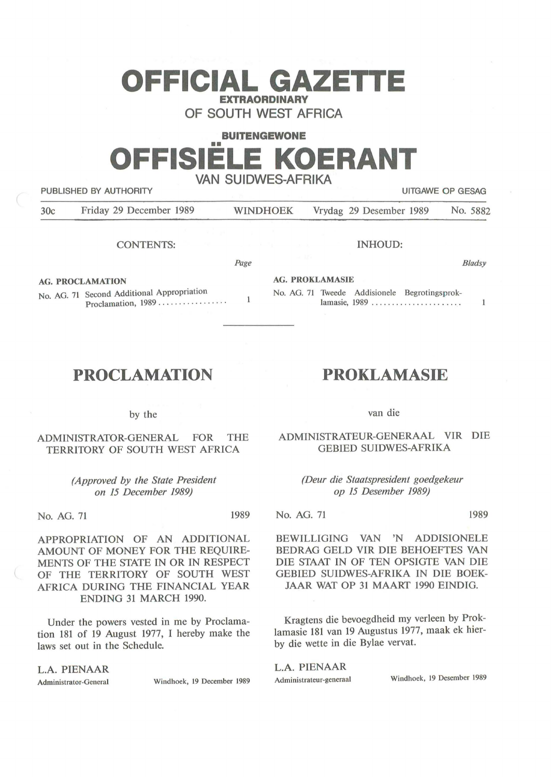# **OFFICIAL GAZETTE EXTRAORDINARY**

**OF SOUTH WEST AFRICA** 

## **BUITENGEWONE**  •• **OFFISIELE KOERANT VAN SUIDWES-AFRIKA**

PUBLISHED BY AUTHORITY **EXAMPLE ASSAULT ASSAULT** OF GESAG

*B/adsy* 

 $\mathbf{1}$ 

30c Friday 29 December 1989 WINDHOEK Vrydag 29 Desember 1989 No. 5882

CONTENTS:

**AG. PROKLAMASIE** 

**AG. PROCLAMATION** 

No. AG. 71 Second Additional Appropriation Proclamation, 1989 .................

## **PROCLAMATION**

by the

ADMINISTRATOR-GENERAL FOR THE TERRITORY OF SOUTH WEST AFRICA

> *(Approved by the State President on 15 December 1989)*

No. AG. 71 1989

APPROPRIATION OF AN ADDITIONAL AMOUNT OF MONEY FOR THE REQUIRE-MENTS OF THE STATE IN OR IN RESPECT OF THE TERRITORY OF SOUTH WEST AFRICA DURING THE FINANCIAL YEAR ENDING 31 MARCH 1990.

Under the powers vested in me by Proclamation 181 of 19 August 1977, I hereby make the laws set out in the Schedule.

L.A. PIENAAR

Administrator-General Windhoek, 19 December 1989

### **PROKLAMASIE**

lamasie, 1989 .......................

INHOUD:

No. AG. 71 Tweede Addisionele Begrotingsprok-

van die

ADMINISTRATEUR-GENERAAL VIR DIE GEBIED SUIDWES-AFRIKA

> *(Deur die Staatspresident goedgekeur op 15 Desember 1989)*

No. AG. 71 1989

BEWILLIGING VAN 'N ADDISIONELE BEDRAG GELD VIR DIE BEHOEFTES VAN DIE STAAT IN OF TEN OPSIGTE VAN DIE GEBIED SUIDWES-AFRIKA IN DIE BOEK-JAAR WAT OP 31 MAART 1990 EINDIG.

Kragtens die bevoegdheid my verleen by Proklamasie 181 van 19 Augustus 1977, maak ek hierby die wette in die Bylae vervat.

**L.A. PIENAAR**  Administrateur-generaal Windhoek, 19 Desember 1989

*Page* 

 $\mathbf{1}$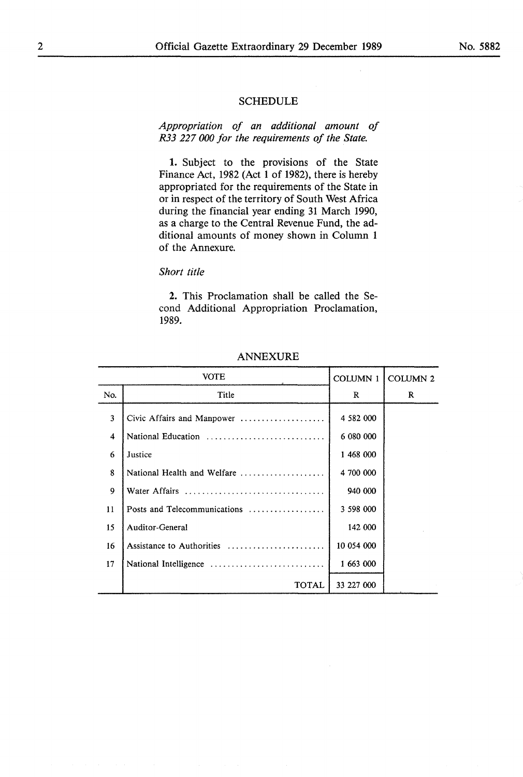#### **SCHEDULE**

*Appropriation of an additional amount of R33 227 000 for the requirements of the State.* 

1. Subject to the provisions of the State Finance Act, 1982 (Act 1 of 1982), there is hereby appropriated for the requirements of the State in or in respect of the territory of South West Africa during the financial year ending 31 March 1990, as a charge to the Central Revenue Fund, the additional amounts of money shown in Column 1 of the Annexure.

#### *Short title*

2. This Proclamation shall be called the Second Additional Appropriation Proclamation, 1989.

| VOTE |                              | <b>COLUMN 1</b> | <b>COLUMN 2</b> |
|------|------------------------------|-----------------|-----------------|
| No.  | Title                        | $\bf{R}$        | R               |
| 3    | Civic Affairs and Manpower   | 4 582 000       |                 |
| 4    | National Education           | 6 080 000       |                 |
| 6    | Justice                      | 1 468 000       |                 |
| 8    | National Health and Welfare  | 4 700 000       |                 |
| 9    | Water Affairs                | 940 000         |                 |
| 11   | Posts and Telecommunications | 3 598 000       |                 |
| 15   | Auditor-General              | 142 000         |                 |
| 16   | Assistance to Authorities    | 10 054 000      |                 |
| 17   | National Intelligence        | 1 663 000       |                 |
|      | <b>TOTAL</b>                 | 33 227 000      |                 |

#### ANNEXURE